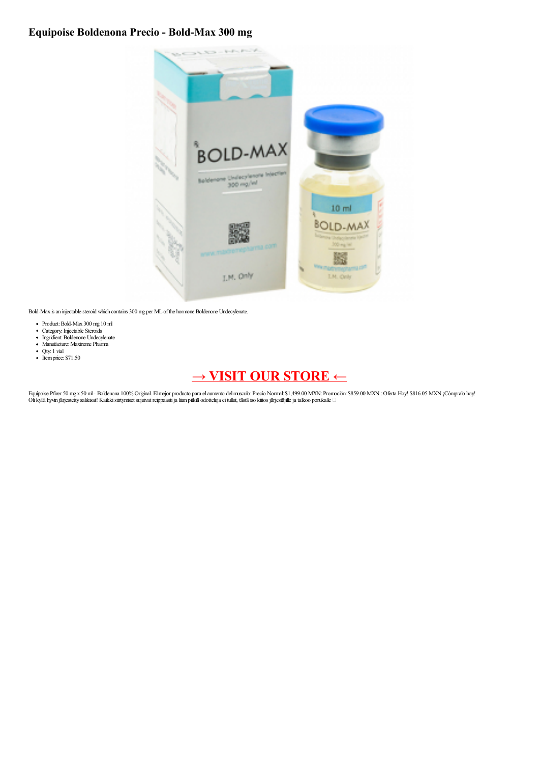## **Equipoise Boldenona Precio - Bold-Max 300 mg**



Bold-Max is an injectable steroid which contains 300 mg per ML of the hormone Boldenone Undecylenate.

- 
- 
- Product: Bold-Max 300 mg 10 ml<br>Category: Injectable Steroids<br>Ingridient: Boldenone Undecylenate<br>Manufacture: Maxtreme Pharma
- Qty: 1 vial
- $\bullet$  Itemprice: \$71.50

## **→ VISIT OUR [STORE](https://t.co/f6GLP8Qemu) ←**

Equipoise Pfizer 50 mg x 50 ml - Boldenona 100% Original. El mejor producto para el aumento del musculo: Precio Normal: \$1,499.00 MXN: Promoción: \$859.00 MXN : Oferta Hoy! \$816.05 MXN ¡Cómpralo hoy!<br>Oli kyllä hyvin järjes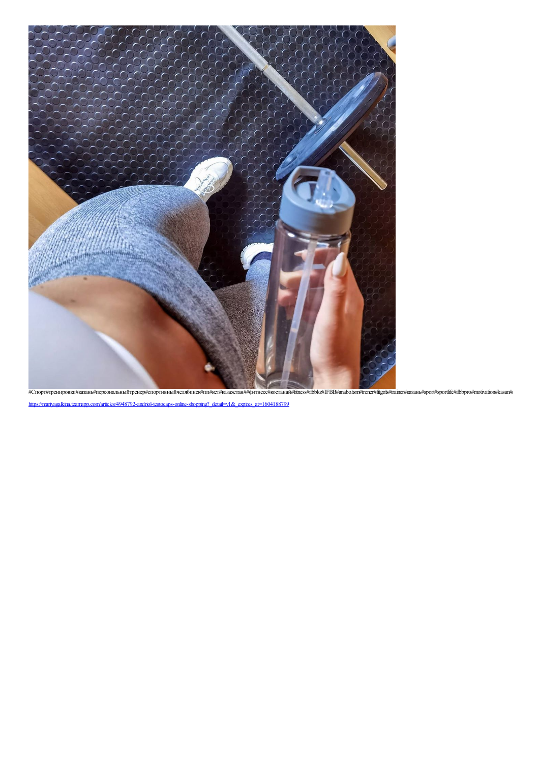

[https://mariyagalkina.teamapp.com/articles/4948792-andriol-testocaps-online-shopping?\\_detail=v1&\\_expires\\_at=1604188799](https://mariyagalkina.teamapp.com/articles/4948792-andriol-testocaps-online-shopping?_detail=v1&_expires_at=1604188799)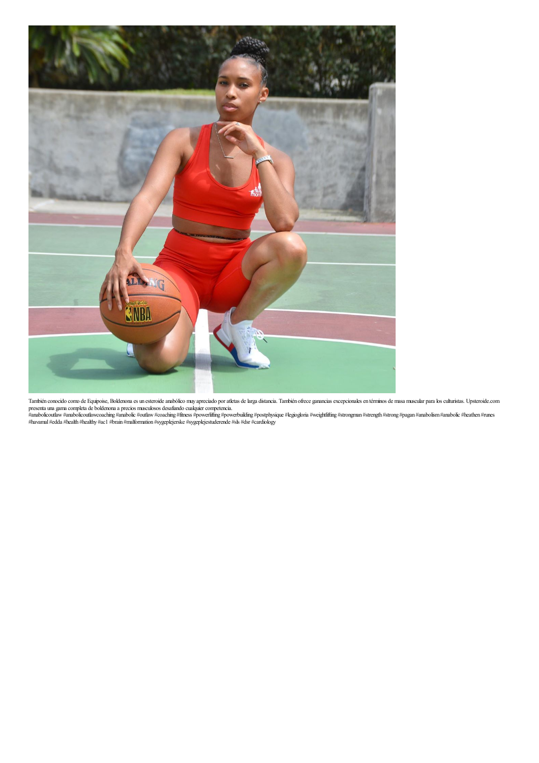

También conocido como de Equipoise, Boldenona es un esteroide anabólico muy apreciado por atletas de larga distancia. También ofrece ganancias excepcionales en términos de masa muscular para los culturistas. Upsteroide.com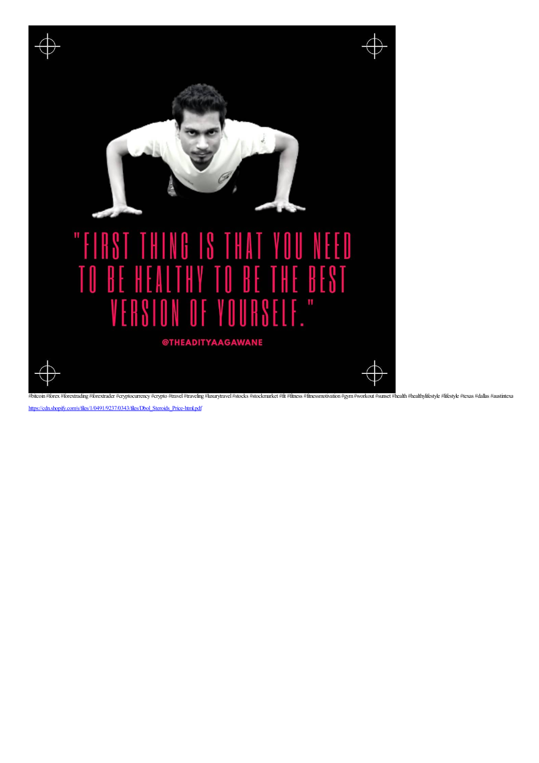

[https://cdn.shopify.com/s/files/1/0491/9237/0343/files/Dbol\\_Steroids\\_Price-html.pdf](https://cdn.shopify.com/s/files/1/0491/9237/0343/files/Dbol_Steroids_Price-html.pdf)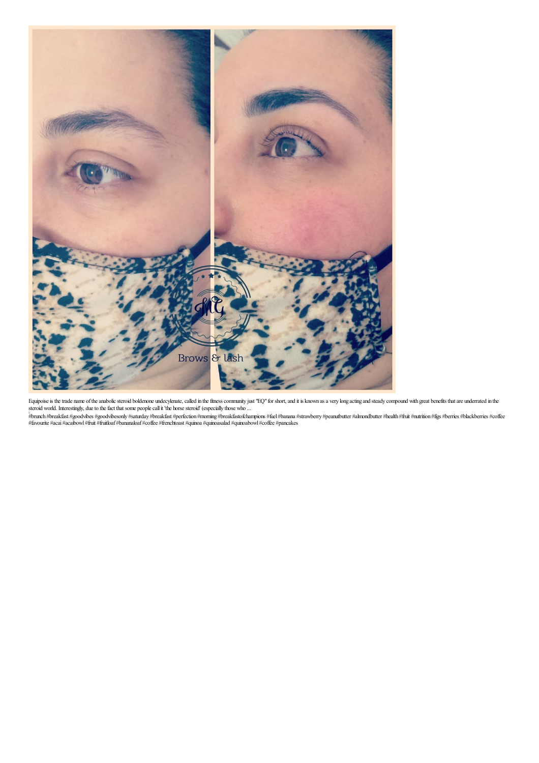

Equipoise is the trade name of the anabolic steroid boldenone undecylenate, called in the fitness community just "EQ" for short, and it is known as a very long acting and steady compound with great benefits that are underr